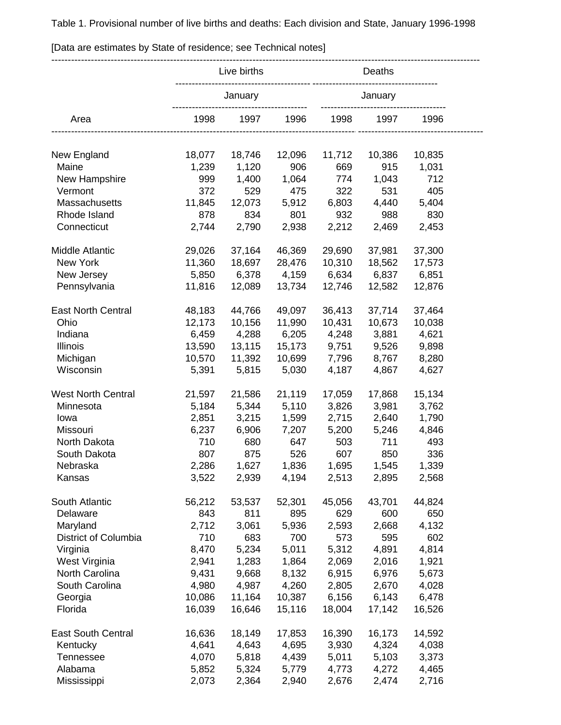Table 1. Provisional number of live births and deaths: Each division and State, January 1996-1998

---------------------------------------------------------------------------------------------------------------------------------- Live births **Deaths** -------------------------------------------------------------------------------- January January ----------------------------------------- -------------------------------------- Area 1998 1997 1996 1998 1997 1996 ---------------------------------------------------------------------------------------------------------- -------------------------------------- New England 18,077 18,746 12,096 11,712 10,386 10,835 Maine 1,239 1,120 906 669 915 1,031 New Hampshire 999 1,400 1,064 774 1,043 712 Vermont 372 529 475 322 531 405 Massachusetts 11,845 12,073 5,912 6,803 4,440 5,404 Rhode Island 878 834 801 932 988 830 Connecticut 2,744 2,790 2,938 2,212 2,469 2,453 Middle Atlantic 29,026 37,164 46,369 29,690 37,981 37,300 New York 11,360 18,697 28,476 10,310 18,562 17,573 New Jersey 5,850 6,378 4,159 6,634 6,837 6,851 Pennsylvania 11,816 12,089 13,734 12,746 12,582 12,876 East North Central 48,183 44,766 49,097 36,413 37,714 37,464 Ohio 12,173 10,156 11,990 10,431 10,673 10,038 Indiana 6,459 4,288 6,205 4,248 3,881 4,621 Illinois 13,590 13,115 15,173 9,751 9,526 9,898 Michigan 10,570 11,392 10,699 7,796 8,767 8,280 Wisconsin 5,391 5,815 5,030 4,187 4,867 4,627 West North Central 21,597 21,586 21,119 17,059 17,868 15,134 Minnesota 5,184 5,344 5,110 3,826 3,981 3,762 Iowa 2,851 3,215 1,599 2,715 2,640 1,790 Missouri 6,237 6,906 7,207 5,200 5,246 4,846 North Dakota 710 680 647 503 711 493 South Dakota 807 875 526 607 850 336 Nebraska 2,286 1,627 1,836 1,695 1,545 1,339 Kansas 3,522 2,939 4,194 2,513 2,895 2,568 South Atlantic 56,212 53,537 52,301 45,056 43,701 44,824 Delaware 843 811 895 629 600 650 Maryland 2,712 3,061 5,936 2,593 2,668 4,132 District of Columbia 710 683 700 573 595 602 Virginia 8,470 5,234 5,011 5,312 4,891 4,814 West Virginia 2,941 1,283 1,864 2,069 2,016 1,921 North Carolina 9,431 9,668 8,132 6,915 6,976 5,673 South Carolina 4,980 4,987 4,260 2,805 2,670 4,028 Georgia 10,086 11,164 10,387 6,156 6,143 6,478 Florida 16,039 16,646 15,116 18,004 17,142 16,526 East South Central 16,636 18,149 17,853 16,390 16,173 14,592 Kentucky 4,641 4,643 4,695 3,930 4,324 4,038 Tennessee 4,070 5,818 4,439 5,011 5,103 3,373 Alabama 5,852 5,324 5,779 4,773 4,272 4,465

Mississippi 2,073 2,364 2,940 2,676 2,474 2,716

[Data are estimates by State of residence; see Technical notes]